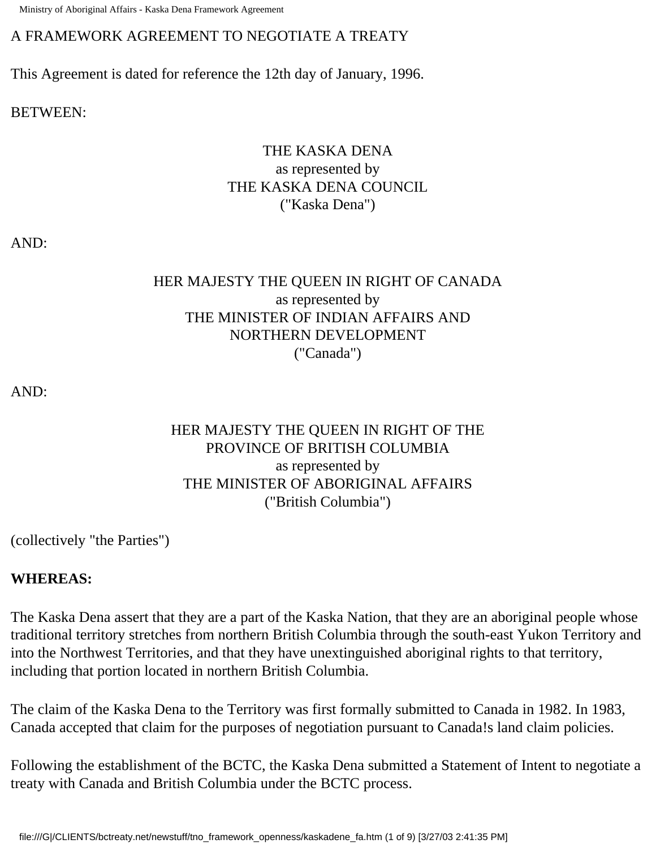Ministry of Aboriginal Affairs - Kaska Dena Framework Agreement

### A FRAMEWORK AGREEMENT TO NEGOTIATE A TREATY

This Agreement is dated for reference the 12th day of January, 1996.

BETWEEN:

# THE KASKA DENA as represented by THE KASKA DENA COUNCIL ("Kaska Dena")

AND:

# HER MAJESTY THE QUEEN IN RIGHT OF CANADA as represented by THE MINISTER OF INDIAN AFFAIRS AND NORTHERN DEVELOPMENT ("Canada")

AND:

## HER MAJESTY THE QUEEN IN RIGHT OF THE PROVINCE OF BRITISH COLUMBIA as represented by THE MINISTER OF ABORIGINAL AFFAIRS ("British Columbia")

(collectively "the Parties")

### **WHEREAS:**

The Kaska Dena assert that they are a part of the Kaska Nation, that they are an aboriginal people whose traditional territory stretches from northern British Columbia through the south-east Yukon Territory and into the Northwest Territories, and that they have unextinguished aboriginal rights to that territory, including that portion located in northern British Columbia.

The claim of the Kaska Dena to the Territory was first formally submitted to Canada in 1982. In 1983, Canada accepted that claim for the purposes of negotiation pursuant to Canada!s land claim policies.

Following the establishment of the BCTC, the Kaska Dena submitted a Statement of Intent to negotiate a treaty with Canada and British Columbia under the BCTC process.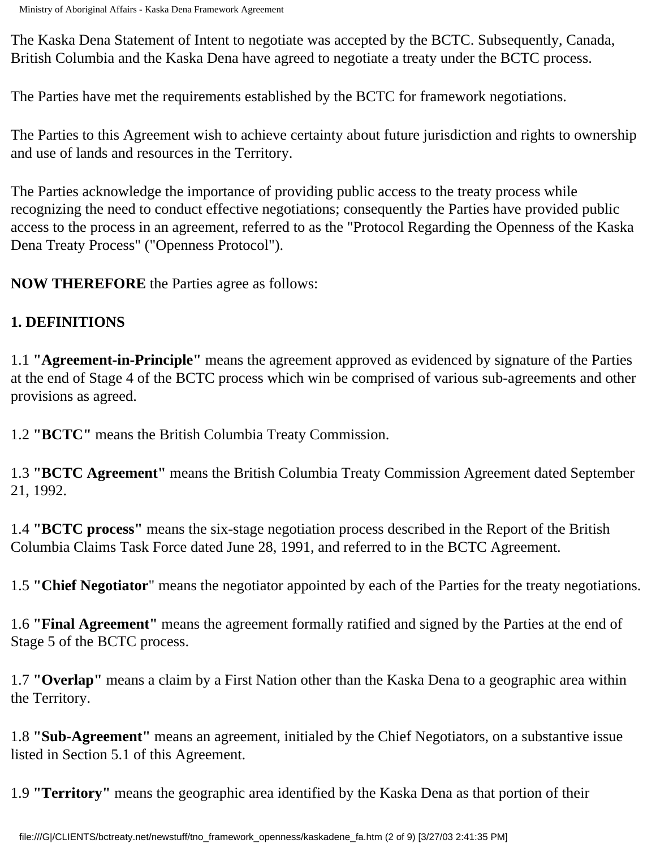The Kaska Dena Statement of Intent to negotiate was accepted by the BCTC. Subsequently, Canada, British Columbia and the Kaska Dena have agreed to negotiate a treaty under the BCTC process.

The Parties have met the requirements established by the BCTC for framework negotiations.

The Parties to this Agreement wish to achieve certainty about future jurisdiction and rights to ownership and use of lands and resources in the Territory.

The Parties acknowledge the importance of providing public access to the treaty process while recognizing the need to conduct effective negotiations; consequently the Parties have provided public access to the process in an agreement, referred to as the "Protocol Regarding the Openness of the Kaska Dena Treaty Process" ("Openness Protocol").

**NOW THEREFORE** the Parties agree as follows:

# **1. DEFINITIONS**

1.1 **"Agreement-in-Principle"** means the agreement approved as evidenced by signature of the Parties at the end of Stage 4 of the BCTC process which win be comprised of various sub-agreements and other provisions as agreed.

1.2 **"BCTC"** means the British Columbia Treaty Commission.

1.3 **"BCTC Agreement"** means the British Columbia Treaty Commission Agreement dated September 21, 1992.

1.4 **"BCTC process"** means the six-stage negotiation process described in the Report of the British Columbia Claims Task Force dated June 28, 1991, and referred to in the BCTC Agreement.

1.5 **"Chief Negotiator**" means the negotiator appointed by each of the Parties for the treaty negotiations.

1.6 **"Final Agreement"** means the agreement formally ratified and signed by the Parties at the end of Stage 5 of the BCTC process.

1.7 **"Overlap"** means a claim by a First Nation other than the Kaska Dena to a geographic area within the Territory.

1.8 **"Sub-Agreement"** means an agreement, initialed by the Chief Negotiators, on a substantive issue listed in Section 5.1 of this Agreement.

1.9 **"Territory"** means the geographic area identified by the Kaska Dena as that portion of their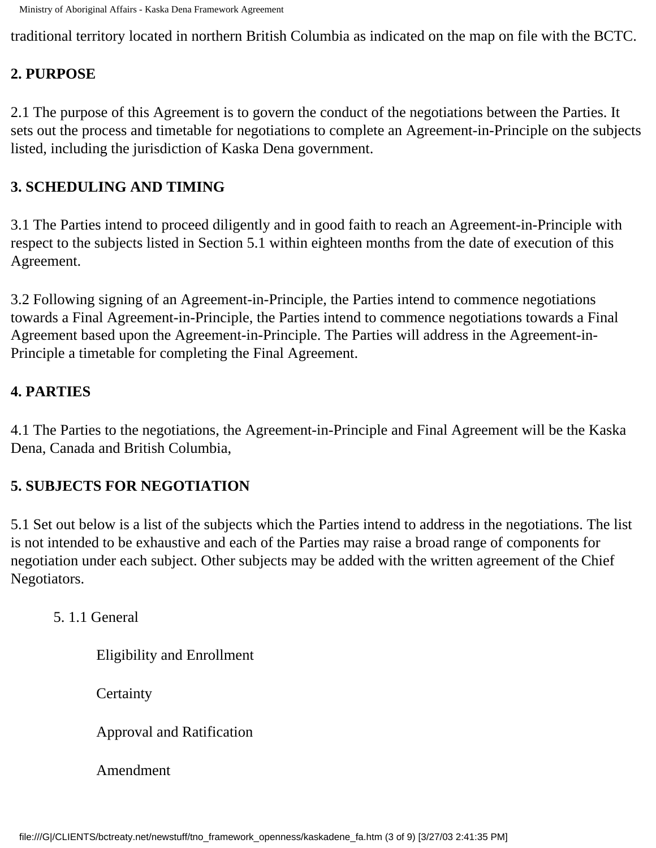traditional territory located in northern British Columbia as indicated on the map on file with the BCTC.

### **2. PURPOSE**

2.1 The purpose of this Agreement is to govern the conduct of the negotiations between the Parties. It sets out the process and timetable for negotiations to complete an Agreement-in-Principle on the subjects listed, including the jurisdiction of Kaska Dena government.

## **3. SCHEDULING AND TIMING**

3.1 The Parties intend to proceed diligently and in good faith to reach an Agreement-in-Principle with respect to the subjects listed in Section 5.1 within eighteen months from the date of execution of this Agreement.

3.2 Following signing of an Agreement-in-Principle, the Parties intend to commence negotiations towards a Final Agreement-in-Principle, the Parties intend to commence negotiations towards a Final Agreement based upon the Agreement-in-Principle. The Parties will address in the Agreement-in-Principle a timetable for completing the Final Agreement.

### **4. PARTIES**

4.1 The Parties to the negotiations, the Agreement-in-Principle and Final Agreement will be the Kaska Dena, Canada and British Columbia,

### **5. SUBJECTS FOR NEGOTIATION**

5.1 Set out below is a list of the subjects which the Parties intend to address in the negotiations. The list is not intended to be exhaustive and each of the Parties may raise a broad range of components for negotiation under each subject. Other subjects may be added with the written agreement of the Chief Negotiators.

### 5. 1.1 General

Eligibility and Enrollment

**Certainty** 

Approval and Ratification

Amendment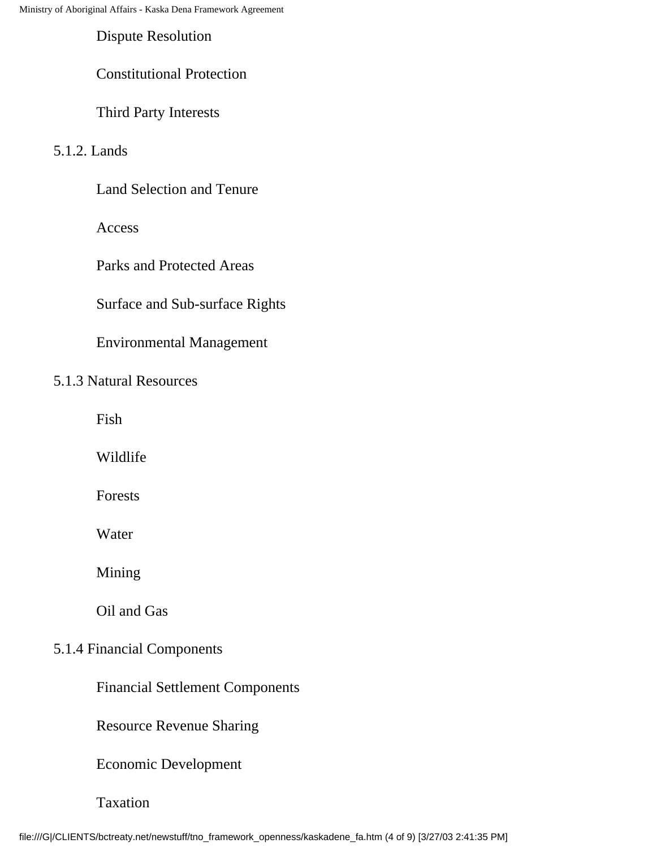Dispute Resolution

#### Constitutional Protection

Third Party Interests

#### 5.1.2. Lands

Land Selection and Tenure

Access

Parks and Protected Areas

#### Surface and Sub-surface Rights

### Environmental Management

#### 5.1.3 Natural Resources

Fish

Wildlife

Forests

Water

Mining

Oil and Gas

#### 5.1.4 Financial Components

Financial Settlement Components

Resource Revenue Sharing

Economic Development

#### Taxation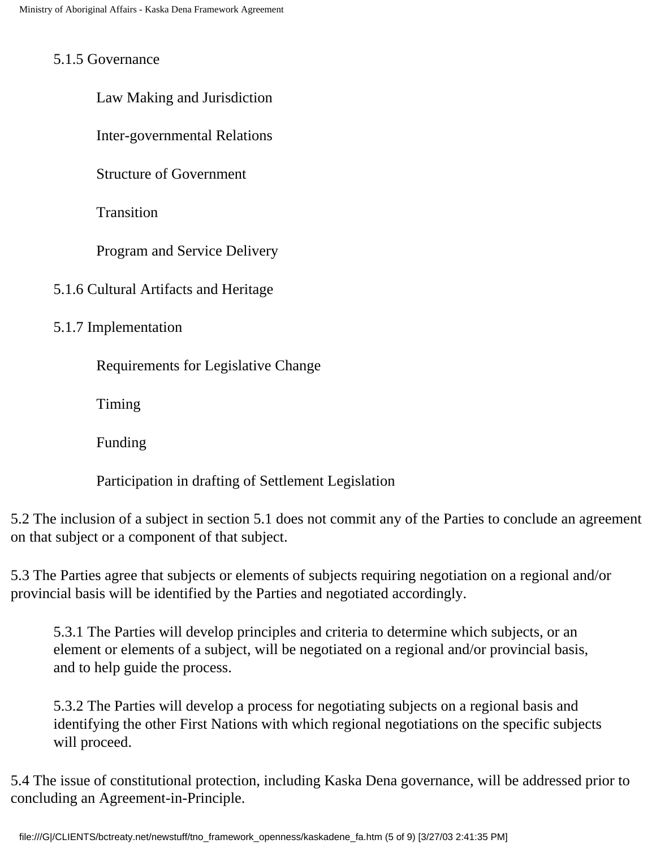#### 5.1.5 Governance

Law Making and Jurisdiction

Inter-governmental Relations

Structure of Government

**Transition** 

Program and Service Delivery

5.1.6 Cultural Artifacts and Heritage

5.1.7 Implementation

Requirements for Legislative Change

Timing

Funding

Participation in drafting of Settlement Legislation

5.2 The inclusion of a subject in section 5.1 does not commit any of the Parties to conclude an agreement on that subject or a component of that subject.

5.3 The Parties agree that subjects or elements of subjects requiring negotiation on a regional and/or provincial basis will be identified by the Parties and negotiated accordingly.

5.3.1 The Parties will develop principles and criteria to determine which subjects, or an element or elements of a subject, will be negotiated on a regional and/or provincial basis, and to help guide the process.

5.3.2 The Parties will develop a process for negotiating subjects on a regional basis and identifying the other First Nations with which regional negotiations on the specific subjects will proceed.

5.4 The issue of constitutional protection, including Kaska Dena governance, will be addressed prior to concluding an Agreement-in-Principle.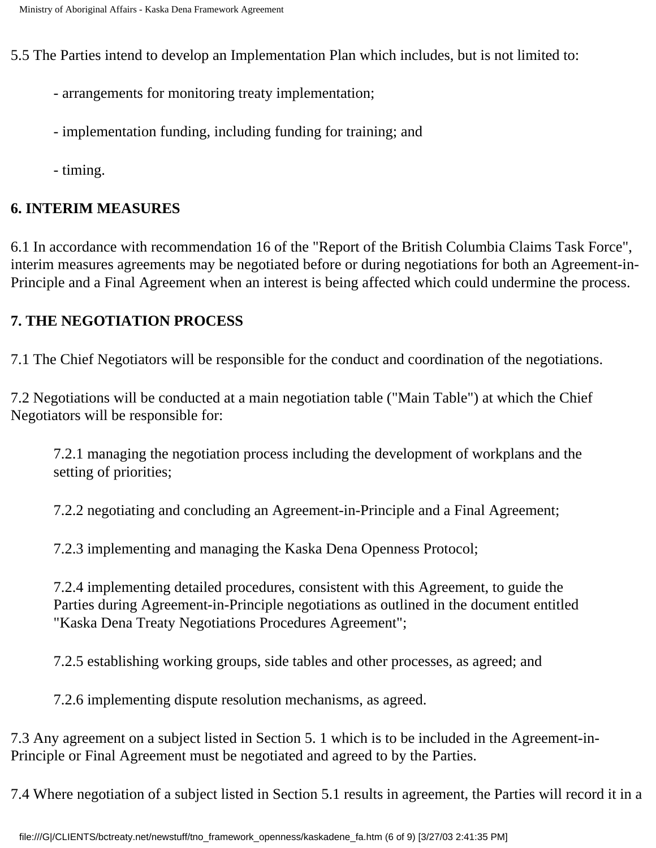5.5 The Parties intend to develop an Implementation Plan which includes, but is not limited to:

- arrangements for monitoring treaty implementation;
- implementation funding, including funding for training; and
- timing.

## **6. INTERIM MEASURES**

6.1 In accordance with recommendation 16 of the "Report of the British Columbia Claims Task Force", interim measures agreements may be negotiated before or during negotiations for both an Agreement-in-Principle and a Final Agreement when an interest is being affected which could undermine the process.

### **7. THE NEGOTIATION PROCESS**

7.1 The Chief Negotiators will be responsible for the conduct and coordination of the negotiations.

7.2 Negotiations will be conducted at a main negotiation table ("Main Table") at which the Chief Negotiators will be responsible for:

7.2.1 managing the negotiation process including the development of workplans and the setting of priorities;

7.2.2 negotiating and concluding an Agreement-in-Principle and a Final Agreement;

7.2.3 implementing and managing the Kaska Dena Openness Protocol;

7.2.4 implementing detailed procedures, consistent with this Agreement, to guide the Parties during Agreement-in-Principle negotiations as outlined in the document entitled "Kaska Dena Treaty Negotiations Procedures Agreement";

7.2.5 establishing working groups, side tables and other processes, as agreed; and

7.2.6 implementing dispute resolution mechanisms, as agreed.

7.3 Any agreement on a subject listed in Section 5. 1 which is to be included in the Agreement-in-Principle or Final Agreement must be negotiated and agreed to by the Parties.

7.4 Where negotiation of a subject listed in Section 5.1 results in agreement, the Parties will record it in a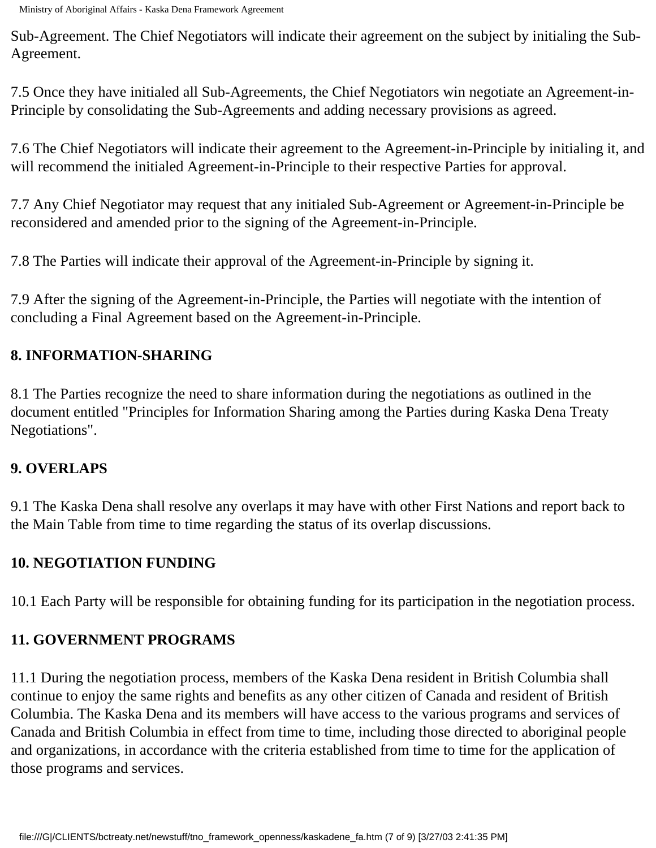Sub-Agreement. The Chief Negotiators will indicate their agreement on the subject by initialing the Sub-Agreement.

7.5 Once they have initialed all Sub-Agreements, the Chief Negotiators win negotiate an Agreement-in-Principle by consolidating the Sub-Agreements and adding necessary provisions as agreed.

7.6 The Chief Negotiators will indicate their agreement to the Agreement-in-Principle by initialing it, and will recommend the initialed Agreement-in-Principle to their respective Parties for approval.

7.7 Any Chief Negotiator may request that any initialed Sub-Agreement or Agreement-in-Principle be reconsidered and amended prior to the signing of the Agreement-in-Principle.

7.8 The Parties will indicate their approval of the Agreement-in-Principle by signing it.

7.9 After the signing of the Agreement-in-Principle, the Parties will negotiate with the intention of concluding a Final Agreement based on the Agreement-in-Principle.

# **8. INFORMATION-SHARING**

8.1 The Parties recognize the need to share information during the negotiations as outlined in the document entitled "Principles for Information Sharing among the Parties during Kaska Dena Treaty Negotiations".

### **9. OVERLAPS**

9.1 The Kaska Dena shall resolve any overlaps it may have with other First Nations and report back to the Main Table from time to time regarding the status of its overlap discussions.

# **10. NEGOTIATION FUNDING**

10.1 Each Party will be responsible for obtaining funding for its participation in the negotiation process.

# **11. GOVERNMENT PROGRAMS**

11.1 During the negotiation process, members of the Kaska Dena resident in British Columbia shall continue to enjoy the same rights and benefits as any other citizen of Canada and resident of British Columbia. The Kaska Dena and its members will have access to the various programs and services of Canada and British Columbia in effect from time to time, including those directed to aboriginal people and organizations, in accordance with the criteria established from time to time for the application of those programs and services.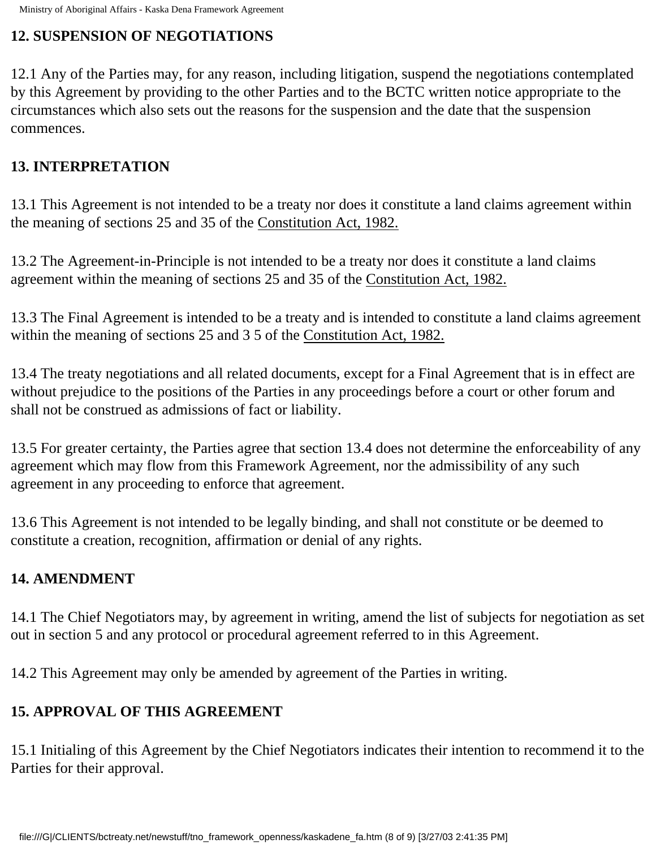# **12. SUSPENSION OF NEGOTIATIONS**

12.1 Any of the Parties may, for any reason, including litigation, suspend the negotiations contemplated by this Agreement by providing to the other Parties and to the BCTC written notice appropriate to the circumstances which also sets out the reasons for the suspension and the date that the suspension commences.

## **13. INTERPRETATION**

13.1 This Agreement is not intended to be a treaty nor does it constitute a land claims agreement within the meaning of sections 25 and 35 of the Constitution Act, 1982.

13.2 The Agreement-in-Principle is not intended to be a treaty nor does it constitute a land claims agreement within the meaning of sections 25 and 35 of the Constitution Act, 1982.

13.3 The Final Agreement is intended to be a treaty and is intended to constitute a land claims agreement within the meaning of sections 25 and 3 5 of the Constitution Act, 1982.

13.4 The treaty negotiations and all related documents, except for a Final Agreement that is in effect are without prejudice to the positions of the Parties in any proceedings before a court or other forum and shall not be construed as admissions of fact or liability.

13.5 For greater certainty, the Parties agree that section 13.4 does not determine the enforceability of any agreement which may flow from this Framework Agreement, nor the admissibility of any such agreement in any proceeding to enforce that agreement.

13.6 This Agreement is not intended to be legally binding, and shall not constitute or be deemed to constitute a creation, recognition, affirmation or denial of any rights.

# **14. AMENDMENT**

14.1 The Chief Negotiators may, by agreement in writing, amend the list of subjects for negotiation as set out in section 5 and any protocol or procedural agreement referred to in this Agreement.

14.2 This Agreement may only be amended by agreement of the Parties in writing.

# **15. APPROVAL OF THIS AGREEMENT**

15.1 Initialing of this Agreement by the Chief Negotiators indicates their intention to recommend it to the Parties for their approval.